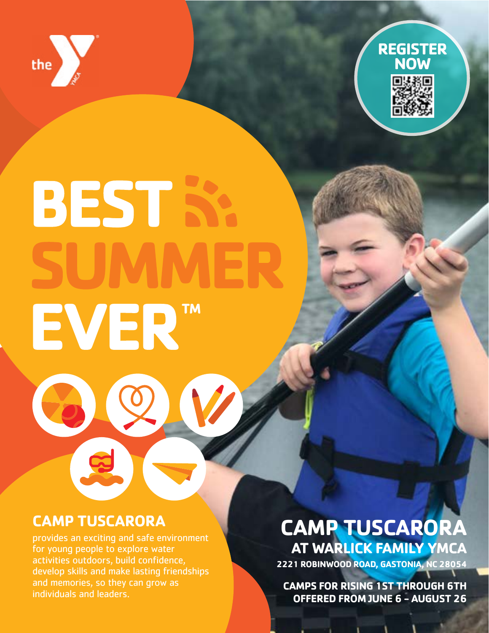



# **BEST S** EVER<sup>TM</sup>

# **CAMP TUSCARORA**

provides an exciting and safe environment for young people to explore water activities outdoors, build confidence, develop skills and make lasting friendships and memories, so they can grow as individuals and leaders.

# **CAMP TUSCARORA AT WARLICK FAMILY YMCA**

**2221 ROBINWOOD ROAD, GASTONIA, NC 28054**

**CAMPS FOR RISING 1ST THROUGH 6TH OFFERED FROM JUNE 6 - AUGUST 26**

**Contact Contact Contact Contact Contact Contact Contact Contact Contact Contact Contact Contact Contact Contact**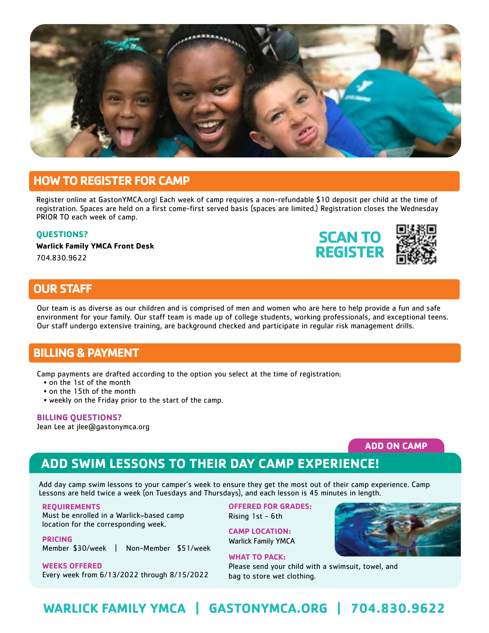

## **HOW TO REGISTER FOR CAMP**

Register online at GastonYMCA.org! Each week of camp requires a non-refundable \$10 deposit per child at the time of registration. Spaces are held on a first come-first served basis (spaces are limited.) Registration closes the Wednesday PRIOR TO each week of camp.

#### **QUESTIONS?**

**Warlick Family YMCA Front Desk**

704.830.9622

![](_page_1_Picture_6.jpeg)

# **OUR STAFF**

Our team is as diverse as our children and is comprised of men and women who are here to help provide a fun and safe environment for your family. Our staff team is made up of college students, working professionals, and exceptional teens. Our staff undergo extensive training, are background checked and participate in regular risk management drills.

## **BILLING & PAYMENT**

Camp payments are drafted according to the option you select at the time of registration:

- on the 1st of the month
- on the 15th of the month
- weekly on the Friday prior to the start of the camp.

#### **BILLING QUESTIONS?**

Jean Lee at jlee@gastonymca.org

## **ADD ON CAMP**

# **ADD SWIM LESSONS TO THEIR DAY CAMP EXPERIENCE!**

Add day camp swim lessons to your camper's week to ensure they get the most out of their camp experience. Camp Lessons are held twice a week (on Tuesdays and Thursdays), and each lesson is 45 minutes in length.

#### **REQUIREMENTS**

Must be enrolled in a Warlick–based camp location for the corresponding week.

**PRICING** Member \$30/week | Non-Member \$51/week

**WEEKS OFFERED** Every week from 6/13/2022 through 8/15/2022 **OFFERED FOR GRADES:** Rising 1st - 6th

**CAMP LOCATION:** Warlick Family YMCA

**WHAT TO PACK:**  Please send your child with a swimsuit, towel, and bag to store wet clothing.

![](_page_1_Picture_26.jpeg)

# **WARLICK FAMILY YMCA | GASTONYMCA.ORG | 704.830.9622**